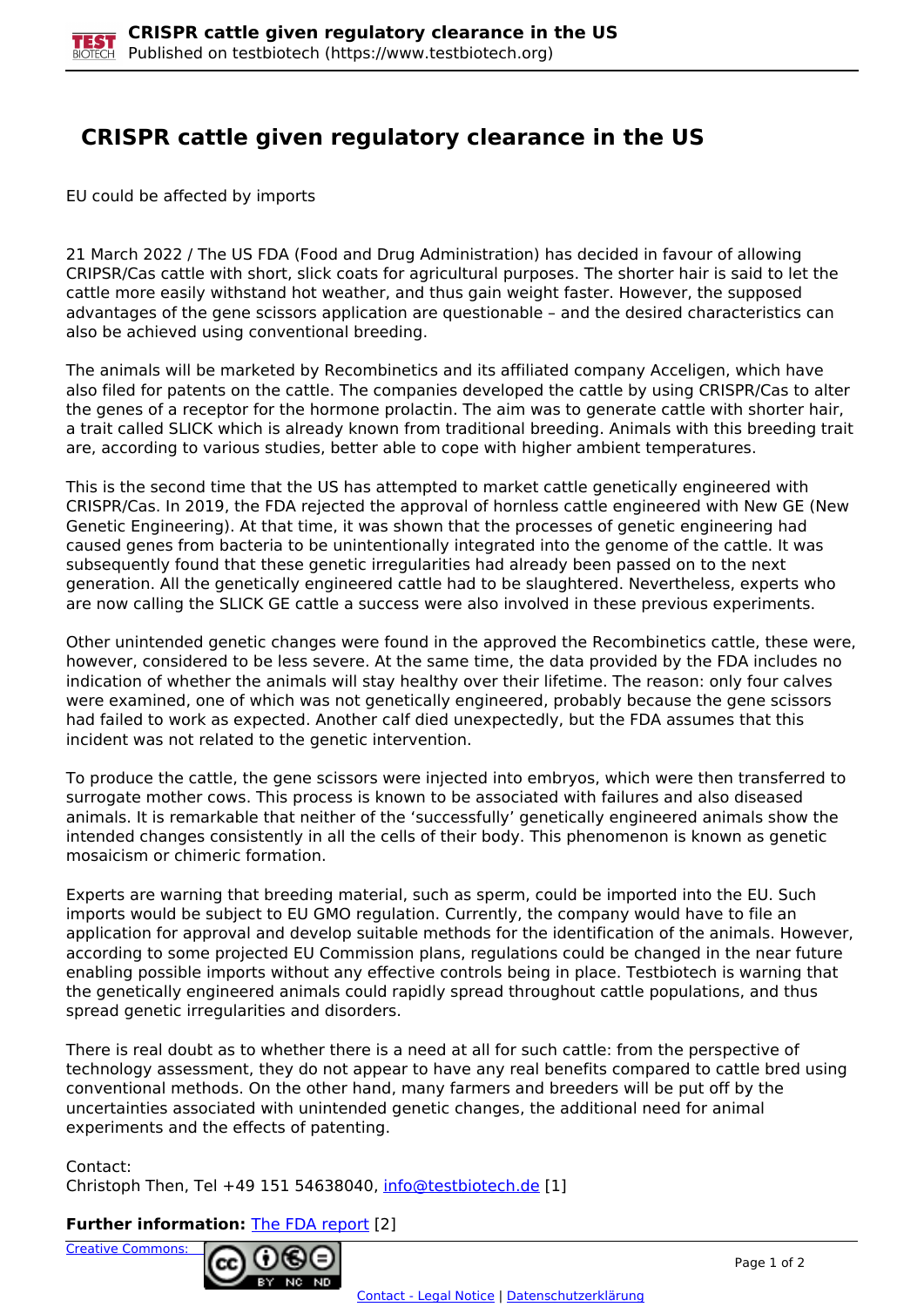## **CRISPR cattle given regulatory clearance in the US**

EU could be affected by imports

21 March 2022 / The US FDA (Food and Drug Administration) has decided in favour of allowing CRIPSR/Cas cattle with short, slick coats for agricultural purposes. The shorter hair is said to let the cattle more easily withstand hot weather, and thus gain weight faster. However, the supposed advantages of the gene scissors application are questionable – and the desired characteristics can also be achieved using conventional breeding.

The animals will be marketed by Recombinetics and its affiliated company Acceligen, which have also filed for patents on the cattle. The companies developed the cattle by using CRISPR/Cas to alter the genes of a receptor for the hormone prolactin. The aim was to generate cattle with shorter hair, a trait called SLICK which is already known from traditional breeding. Animals with this breeding trait are, according to various studies, better able to cope with higher ambient temperatures.

This is the second time that the US has attempted to market cattle genetically engineered with CRISPR/Cas. In 2019, the FDA rejected the approval of hornless cattle engineered with New GE (New Genetic Engineering). At that time, it was shown that the processes of genetic engineering had caused genes from bacteria to be unintentionally integrated into the genome of the cattle. It was subsequently found that these genetic irregularities had already been passed on to the next generation. All the genetically engineered cattle had to be slaughtered. Nevertheless, experts who are now calling the SLICK GE cattle a success were also involved in these previous experiments.

Other unintended genetic changes were found in the approved the Recombinetics cattle, these were, however, considered to be less severe. At the same time, the data provided by the FDA includes no indication of whether the animals will stay healthy over their lifetime. The reason: only four calves were examined, one of which was not genetically engineered, probably because the gene scissors had failed to work as expected. Another calf died unexpectedly, but the FDA assumes that this incident was not related to the genetic intervention.

To produce the cattle, the gene scissors were injected into embryos, which were then transferred to surrogate mother cows. This process is known to be associated with failures and also diseased animals. It is remarkable that neither of the 'successfully' genetically engineered animals show the intended changes consistently in all the cells of their body. This phenomenon is known as genetic mosaicism or chimeric formation.

Experts are warning that breeding material, such as sperm, could be imported into the EU. Such imports would be subject to EU GMO regulation. Currently, the company would have to file an application for approval and develop suitable methods for the identification of the animals. However, according to some projected EU Commission plans, regulations could be changed in the near future enabling possible imports without any effective controls being in place. Testbiotech is warning that the genetically engineered animals could rapidly spread throughout cattle populations, and thus spread genetic irregularities and disorders.

There is real doubt as to whether there is a need at all for such cattle: from the perspective of technology assessment, they do not appear to have any real benefits compared to cattle bred using conventional methods. On the other hand, many farmers and breeders will be put off by the uncertainties associated with unintended genetic changes, the additional need for animal experiments and the effects of patenting.

Contact: Christoph Then, Tel +49 151 54638040, [info@testbiotech.de](mailto:info@testbiotech.de) [1]

**Further information:** The FDA report [2]